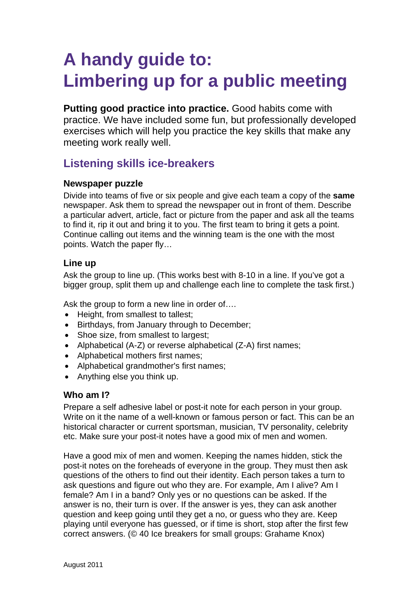# **A handy guide to: Limbering up for a public meeting**

**Putting good practice into practice.** Good habits come with practice. We have included some fun, but professionally developed exercises which will help you practice the key skills that make any meeting work really well.

# **Listening skills ice-breakers**

## **Newspaper puzzle**

Divide into teams of five or six people and give each team a copy of the **same** newspaper. Ask them to spread the newspaper out in front of them. Describe a particular advert, article, fact or picture from the paper and ask all the teams to find it, rip it out and bring it to you. The first team to bring it gets a point. Continue calling out items and the winning team is the one with the most points. Watch the paper fly…

# **Line up**

Ask the group to line up. (This works best with 8-10 in a line. If you've got a bigger group, split them up and challenge each line to complete the task first.)

Ask the group to form a new line in order of….

- Height, from smallest to tallest;
- Birthdays, from January through to December;
- Shoe size, from smallest to largest;
- Alphabetical (A-Z) or reverse alphabetical (Z-A) first names;
- Alphabetical mothers first names;
- Alphabetical grandmother's first names;
- Anything else you think up.

# **Who am I?**

Prepare a self adhesive label or post-it note for each person in your group. Write on it the name of a well-known or famous person or fact. This can be an historical character or current sportsman, musician, TV personality, celebrity etc. Make sure your post-it notes have a good mix of men and women.

Have a good mix of men and women. Keeping the names hidden, stick the post-it notes on the foreheads of everyone in the group. They must then ask questions of the others to find out their identity. Each person takes a turn to ask questions and figure out who they are. For example, Am I alive? Am I female? Am I in a band? Only yes or no questions can be asked. If the answer is no, their turn is over. If the answer is yes, they can ask another question and keep going until they get a no, or guess who they are. Keep playing until everyone has guessed, or if time is short, stop after the first few correct answers. (© 40 Ice breakers for small groups: Grahame Knox)